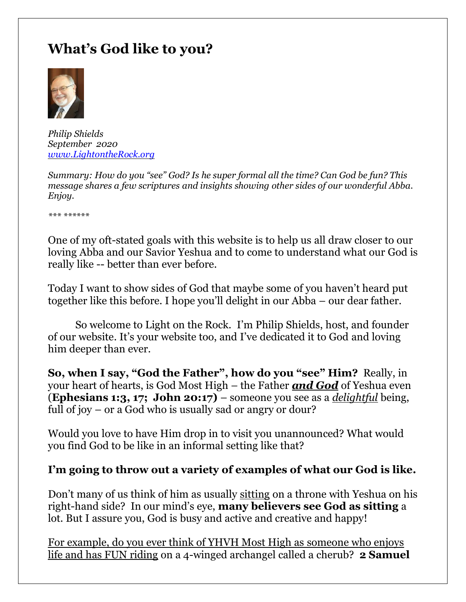# **What's God like to you?**



*Philip Shields September 2020 [www.LightontheRock.org](http://www.lightontherock.org/)*

*Summary: How do you "see" God? Is he super formal all the time? Can God be fun? This message shares a few scriptures and insights showing other sides of our wonderful Abba. Enjoy.* 

*\*\*\* \*\*\*\*\*\**

One of my oft-stated goals with this website is to help us all draw closer to our loving Abba and our Savior Yeshua and to come to understand what our God is really like -- better than ever before.

Today I want to show sides of God that maybe some of you haven't heard put together like this before. I hope you'll delight in our Abba – our dear father.

So welcome to Light on the Rock. I'm Philip Shields, host, and founder of our website. It's your website too, and I've dedicated it to God and loving him deeper than ever.

**So, when I say, "God the Father", how do you "see" Him?** Really, in your heart of hearts, is God Most High – the Father *and God* of Yeshua even (**Ephesians 1:3, 17; John 20:17)** – someone you see as a *delightful* being, full of joy – or a God who is usually sad or angry or dour?

Would you love to have Him drop in to visit you unannounced? What would you find God to be like in an informal setting like that?

## **I'm going to throw out a variety of examples of what our God is like.**

Don't many of us think of him as usually sitting on a throne with Yeshua on his right-hand side? In our mind's eye, **many believers see God as sitting** a lot. But I assure you, God is busy and active and creative and happy!

For example, do you ever think of YHVH Most High as someone who enjoys life and has FUN riding on a 4-winged archangel called a cherub? **2 Samuel**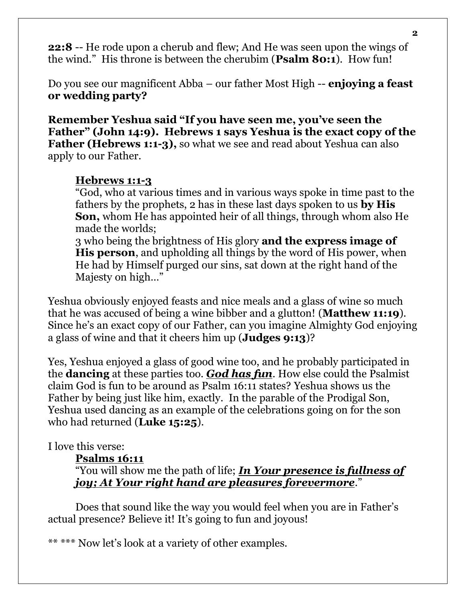**22:8** -- He rode upon a cherub and flew; And He was seen upon the wings of the wind." His throne is between the cherubim (**Psalm 80:1**). How fun!

Do you see our magnificent Abba – our father Most High -- **enjoying a feast or wedding party?**

**Remember Yeshua said "If you have seen me, you've seen the Father" (John 14:9). Hebrews 1 says Yeshua is the exact copy of the Father (Hebrews 1:1-3),** so what we see and read about Yeshua can also apply to our Father.

### **Hebrews 1:1-3**

"God, who at various times and in various ways spoke in time past to the fathers by the prophets, 2 has in these last days spoken to us **by His Son,** whom He has appointed heir of all things, through whom also He made the worlds;

3 who being the brightness of His glory **and the express image of His person**, and upholding all things by the word of His power, when He had by Himself purged our sins, sat down at the right hand of the Majesty on high…"

Yeshua obviously enjoyed feasts and nice meals and a glass of wine so much that he was accused of being a wine bibber and a glutton! (**Matthew 11:19**). Since he's an exact copy of our Father, can you imagine Almighty God enjoying a glass of wine and that it cheers him up (**Judges 9:13**)?

Yes, Yeshua enjoyed a glass of good wine too, and he probably participated in the **dancing** at these parties too. *God has fun*. How else could the Psalmist claim God is fun to be around as Psalm 16:11 states? Yeshua shows us the Father by being just like him, exactly. In the parable of the Prodigal Son, Yeshua used dancing as an example of the celebrations going on for the son who had returned (**Luke 15:25**).

## I love this verse:

## **Psalms 16:11**

"You will show me the path of life; *In Your presence is fullness of joy; At Your right hand are pleasures forevermore*."

Does that sound like the way you would feel when you are in Father's actual presence? Believe it! It's going to fun and joyous!

\*\* \*\*\* Now let's look at a variety of other examples.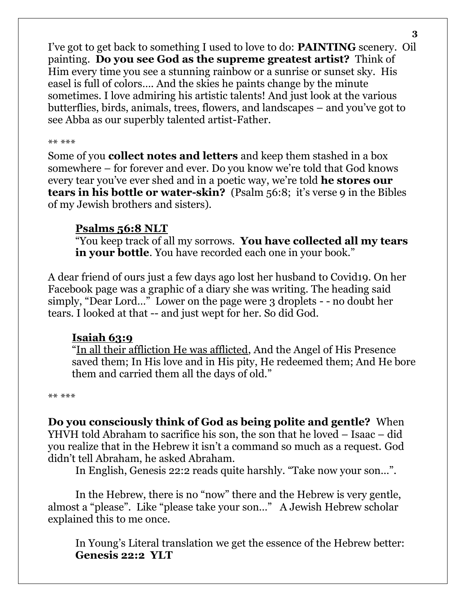I've got to get back to something I used to love to do: **PAINTING** scenery. Oil painting. **Do you see God as the supreme greatest artist?** Think of Him every time you see a stunning rainbow or a sunrise or sunset sky. His easel is full of colors…. And the skies he paints change by the minute sometimes. I love admiring his artistic talents! And just look at the various butterflies, birds, animals, trees, flowers, and landscapes – and you've got to see Abba as our superbly talented artist-Father.

#### \*\* \*\*\*

Some of you **collect notes and letters** and keep them stashed in a box somewhere – for forever and ever. Do you know we're told that God knows every tear you've ever shed and in a poetic way, we're told **he stores our tears in his bottle or water-skin?** (Psalm 56:8; it's verse 9 in the Bibles of my Jewish brothers and sisters).

## **Psalms 56:8 NLT**

"You keep track of all my sorrows. **You have collected all my tears in your bottle**. You have recorded each one in your book."

A dear friend of ours just a few days ago lost her husband to Covid19. On her Facebook page was a graphic of a diary she was writing. The heading said simply, "Dear Lord…" Lower on the page were 3 droplets - - no doubt her tears. I looked at that -- and just wept for her. So did God.

## **Isaiah 63:9**

"In all their affliction He was afflicted, And the Angel of His Presence saved them; In His love and in His pity, He redeemed them; And He bore them and carried them all the days of old."

\*\* \*\*\*

**Do you consciously think of God as being polite and gentle?** When YHVH told Abraham to sacrifice his son, the son that he loved – Isaac – did you realize that in the Hebrew it isn't a command so much as a request. God didn't tell Abraham, he asked Abraham.

In English, Genesis 22:2 reads quite harshly. "Take now your son…".

In the Hebrew, there is no "now" there and the Hebrew is very gentle, almost a "please". Like "please take your son…" A Jewish Hebrew scholar explained this to me once.

In Young's Literal translation we get the essence of the Hebrew better: **Genesis 22:2 YLT**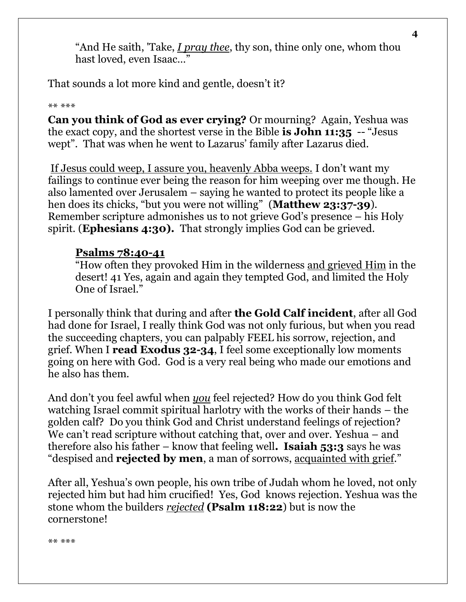"And He saith, 'Take, *I pray thee*, thy son, thine only one, whom thou hast loved, even Isaac…"

That sounds a lot more kind and gentle, doesn't it?

#### \*\* \*\*\*

**Can you think of God as ever crying?** Or mourning? Again, Yeshua was the exact copy, and the shortest verse in the Bible **is John 11:35** -- "Jesus wept". That was when he went to Lazarus' family after Lazarus died.

If Jesus could weep, I assure you, heavenly Abba weeps. I don't want my failings to continue ever being the reason for him weeping over me though. He also lamented over Jerusalem – saying he wanted to protect its people like a hen does its chicks, "but you were not willing" (**Matthew 23:37-39**). Remember scripture admonishes us to not grieve God's presence – his Holy spirit. (**Ephesians 4:30).** That strongly implies God can be grieved.

## **Psalms 78:40-41**

"How often they provoked Him in the wilderness and grieved Him in the desert! 41 Yes, again and again they tempted God, and limited the Holy One of Israel."

I personally think that during and after **the Gold Calf incident**, after all God had done for Israel, I really think God was not only furious, but when you read the succeeding chapters, you can palpably FEEL his sorrow, rejection, and grief. When I **read Exodus 32-34**, I feel some exceptionally low moments going on here with God. God is a very real being who made our emotions and he also has them.

And don't you feel awful when *you* feel rejected? How do you think God felt watching Israel commit spiritual harlotry with the works of their hands – the golden calf? Do you think God and Christ understand feelings of rejection? We can't read scripture without catching that, over and over. Yeshua – and therefore also his father – know that feeling well**. Isaiah 53:3** says he was "despised and **rejected by men**, a man of sorrows, acquainted with grief."

After all, Yeshua's own people, his own tribe of Judah whom he loved, not only rejected him but had him crucified! Yes, God knows rejection. Yeshua was the stone whom the builders *rejected* **(Psalm 118:22**) but is now the cornerstone!

\*\* \*\*\*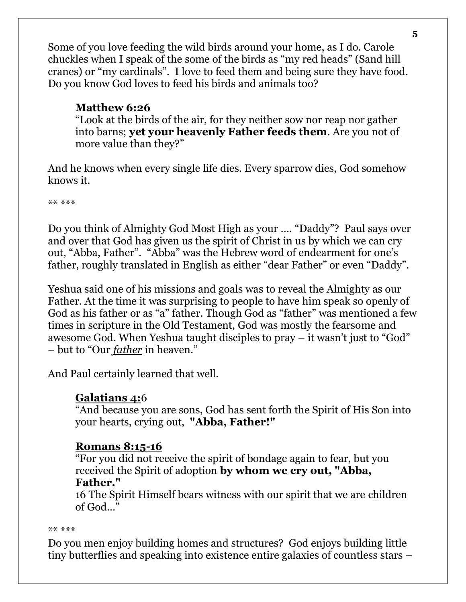Some of you love feeding the wild birds around your home, as I do. Carole chuckles when I speak of the some of the birds as "my red heads" (Sand hill cranes) or "my cardinals". I love to feed them and being sure they have food. Do you know God loves to feed his birds and animals too?

## **Matthew 6:26**

"Look at the birds of the air, for they neither sow nor reap nor gather into barns; **yet your heavenly Father feeds them**. Are you not of more value than they?"

And he knows when every single life dies. Every sparrow dies, God somehow knows it.

\*\* \*\*\*

Do you think of Almighty God Most High as your …. "Daddy"? Paul says over and over that God has given us the spirit of Christ in us by which we can cry out, "Abba, Father". "Abba" was the Hebrew word of endearment for one's father, roughly translated in English as either "dear Father" or even "Daddy".

Yeshua said one of his missions and goals was to reveal the Almighty as our Father. At the time it was surprising to people to have him speak so openly of God as his father or as "a" father. Though God as "father" was mentioned a few times in scripture in the Old Testament, God was mostly the fearsome and awesome God. When Yeshua taught disciples to pray – it wasn't just to "God" – but to "Our *father* in heaven."

And Paul certainly learned that well.

## **Galatians 4:**6

"And because you are sons, God has sent forth the Spirit of His Son into your hearts, crying out, **"Abba, Father!"**

## **Romans 8:15-16**

"For you did not receive the spirit of bondage again to fear, but you received the Spirit of adoption **by whom we cry out, "Abba, Father."**

16 The Spirit Himself bears witness with our spirit that we are children of God…"

\*\* \*\*\*

Do you men enjoy building homes and structures? God enjoys building little tiny butterflies and speaking into existence entire galaxies of countless stars –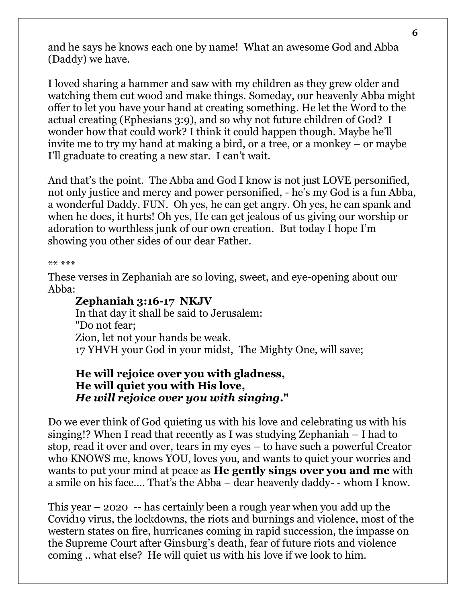and he says he knows each one by name! What an awesome God and Abba (Daddy) we have.

I loved sharing a hammer and saw with my children as they grew older and watching them cut wood and make things. Someday, our heavenly Abba might offer to let you have your hand at creating something. He let the Word to the actual creating (Ephesians 3:9), and so why not future children of God? I wonder how that could work? I think it could happen though. Maybe he'll invite me to try my hand at making a bird, or a tree, or a monkey – or maybe I'll graduate to creating a new star. I can't wait.

And that's the point. The Abba and God I know is not just LOVE personified, not only justice and mercy and power personified, - he's my God is a fun Abba, a wonderful Daddy. FUN. Oh yes, he can get angry. Oh yes, he can spank and when he does, it hurts! Oh yes, He can get jealous of us giving our worship or adoration to worthless junk of our own creation. But today I hope I'm showing you other sides of our dear Father.

#### \*\* \*\*\*

These verses in Zephaniah are so loving, sweet, and eye-opening about our Abba:

#### **Zephaniah 3:16-17 NKJV**

In that day it shall be said to Jerusalem: "Do not fear; Zion, let not your hands be weak. 17 YHVH your God in your midst, The Mighty One, will save;

## **He will rejoice over you with gladness, He will quiet you with His love,** *He will rejoice over you with singing***."**

Do we ever think of God quieting us with his love and celebrating us with his singing!? When I read that recently as I was studying Zephaniah – I had to stop, read it over and over, tears in my eyes – to have such a powerful Creator who KNOWS me, knows YOU, loves you, and wants to quiet your worries and wants to put your mind at peace as **He gently sings over you and me** with a smile on his face…. That's the Abba – dear heavenly daddy- - whom I know.

This year – 2020 -- has certainly been a rough year when you add up the Covid19 virus, the lockdowns, the riots and burnings and violence, most of the western states on fire, hurricanes coming in rapid succession, the impasse on the Supreme Court after Ginsburg's death, fear of future riots and violence coming .. what else? He will quiet us with his love if we look to him.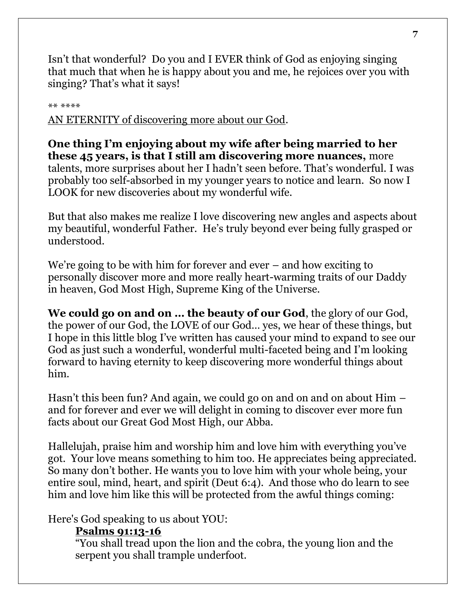Isn't that wonderful? Do you and I EVER think of God as enjoying singing that much that when he is happy about you and me, he rejoices over you with singing? That's what it says!

\*\* \*\*\*\*

AN ETERNITY of discovering more about our God.

**One thing I'm enjoying about my wife after being married to her these 45 years, is that I still am discovering more nuances,** more talents, more surprises about her I hadn't seen before. That's wonderful. I was probably too self-absorbed in my younger years to notice and learn. So now I LOOK for new discoveries about my wonderful wife.

But that also makes me realize I love discovering new angles and aspects about my beautiful, wonderful Father. He's truly beyond ever being fully grasped or understood.

We're going to be with him for forever and ever – and how exciting to personally discover more and more really heart-warming traits of our Daddy in heaven, God Most High, Supreme King of the Universe.

**We could go on and on … the beauty of our God**, the glory of our God, the power of our God, the LOVE of our God… yes, we hear of these things, but I hope in this little blog I've written has caused your mind to expand to see our God as just such a wonderful, wonderful multi-faceted being and I'm looking forward to having eternity to keep discovering more wonderful things about him.

Hasn't this been fun? And again, we could go on and on and on about Him – and for forever and ever we will delight in coming to discover ever more fun facts about our Great God Most High, our Abba.

Hallelujah, praise him and worship him and love him with everything you've got. Your love means something to him too. He appreciates being appreciated. So many don't bother. He wants you to love him with your whole being, your entire soul, mind, heart, and spirit (Deut 6:4). And those who do learn to see him and love him like this will be protected from the awful things coming:

Here's God speaking to us about YOU:

#### **Psalms 91:13-16**

"You shall tread upon the lion and the cobra, the young lion and the serpent you shall trample underfoot.